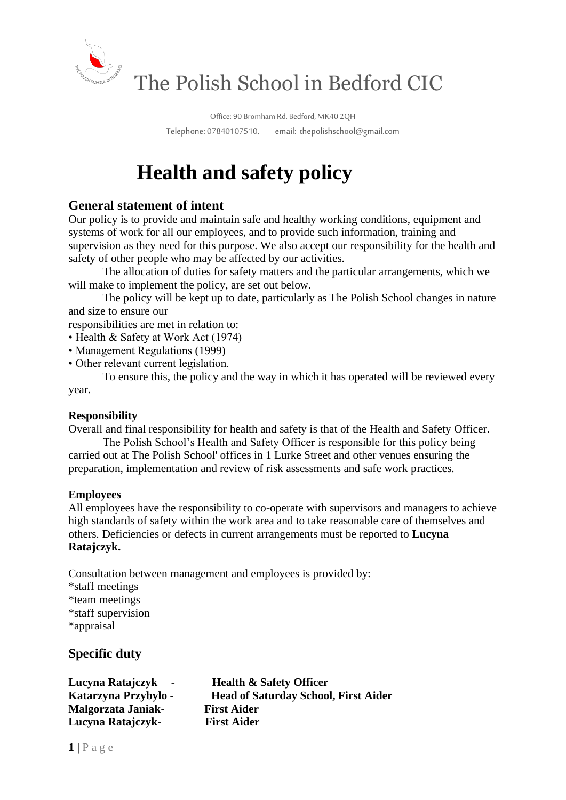

Office: 90 Bromham Rd, Bedford, MK40 2QH Telephone: 07840107510, email: thepolishschool@gmail.com

# **Health and safety policy**

# **General statement of intent**

Our policy is to provide and maintain safe and healthy working conditions, equipment and systems of work for all our employees, and to provide such information, training and supervision as they need for this purpose. We also accept our responsibility for the health and safety of other people who may be affected by our activities.

The allocation of duties for safety matters and the particular arrangements, which we will make to implement the policy, are set out below.

The policy will be kept up to date, particularly as The Polish School changes in nature and size to ensure our

responsibilities are met in relation to:

• Health & Safety at Work Act (1974)

- Management Regulations (1999)
- Other relevant current legislation.

To ensure this, the policy and the way in which it has operated will be reviewed every year.

#### **Responsibility**

Overall and final responsibility for health and safety is that of the Health and Safety Officer.

The Polish School's Health and Safety Officer is responsible for this policy being carried out at The Polish School' offices in 1 Lurke Street and other venues ensuring the preparation, implementation and review of risk assessments and safe work practices.

#### **Employees**

All employees have the responsibility to co-operate with supervisors and managers to achieve high standards of safety within the work area and to take reasonable care of themselves and others. Deficiencies or defects in current arrangements must be reported to **Lucyna Ratajczyk.**

Consultation between management and employees is provided by: \*staff meetings \*team meetings \*staff supervision \*appraisal

## **Specific duty**

**Lucyna Ratajczyk - Health & Safety Officer Katarzyna Przybylo - Head of Saturday School, First Aider Malgorzata Janiak- First Aider Lucyna Ratajczyk- First Aider**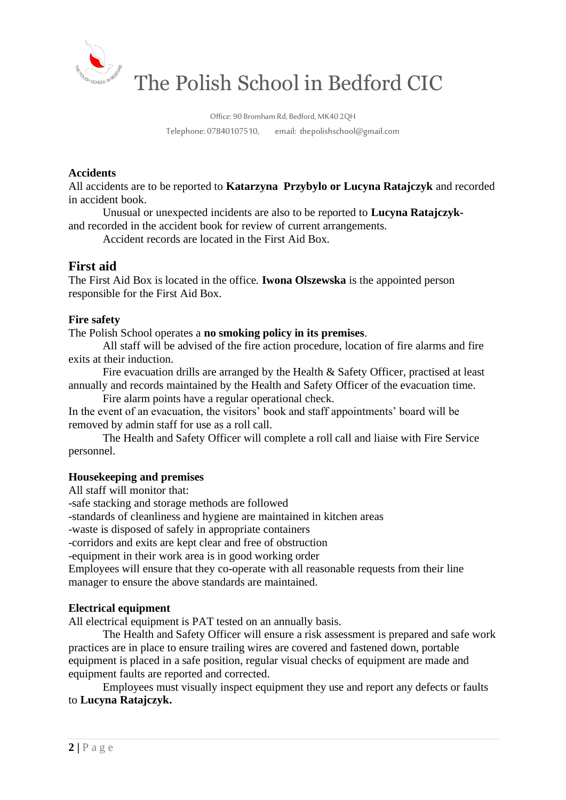

The Polish School in Bedford CIC

Office: 90 Bromham Rd, Bedford, MK40 2QH Telephone: 07840107510, email: thepolishschool@gmail.com

#### **Accidents**

All accidents are to be reported to **Katarzyna Przybylo or Lucyna Ratajczyk** and recorded in accident book.

Unusual or unexpected incidents are also to be reported to **Lucyna Ratajczyk**and recorded in the accident book for review of current arrangements.

Accident records are located in the First Aid Box.

### **First aid**

The First Aid Box is located in the office. **Iwona Olszewska** is the appointed person responsible for the First Aid Box.

#### **Fire safety**

The Polish School operates a **no smoking policy in its premises**.

All staff will be advised of the fire action procedure, location of fire alarms and fire exits at their induction.

Fire evacuation drills are arranged by the Health & Safety Officer, practised at least annually and records maintained by the Health and Safety Officer of the evacuation time.

Fire alarm points have a regular operational check.

In the event of an evacuation, the visitors' book and staff appointments' board will be removed by admin staff for use as a roll call.

The Health and Safety Officer will complete a roll call and liaise with Fire Service personnel.

#### **Housekeeping and premises**

All staff will monitor that:

-safe stacking and storage methods are followed

-standards of cleanliness and hygiene are maintained in kitchen areas

-waste is disposed of safely in appropriate containers

-corridors and exits are kept clear and free of obstruction

-equipment in their work area is in good working order

Employees will ensure that they co-operate with all reasonable requests from their line manager to ensure the above standards are maintained.

#### **Electrical equipment**

All electrical equipment is PAT tested on an annually basis.

The Health and Safety Officer will ensure a risk assessment is prepared and safe work practices are in place to ensure trailing wires are covered and fastened down, portable equipment is placed in a safe position, regular visual checks of equipment are made and equipment faults are reported and corrected.

Employees must visually inspect equipment they use and report any defects or faults to **Lucyna Ratajczyk.**